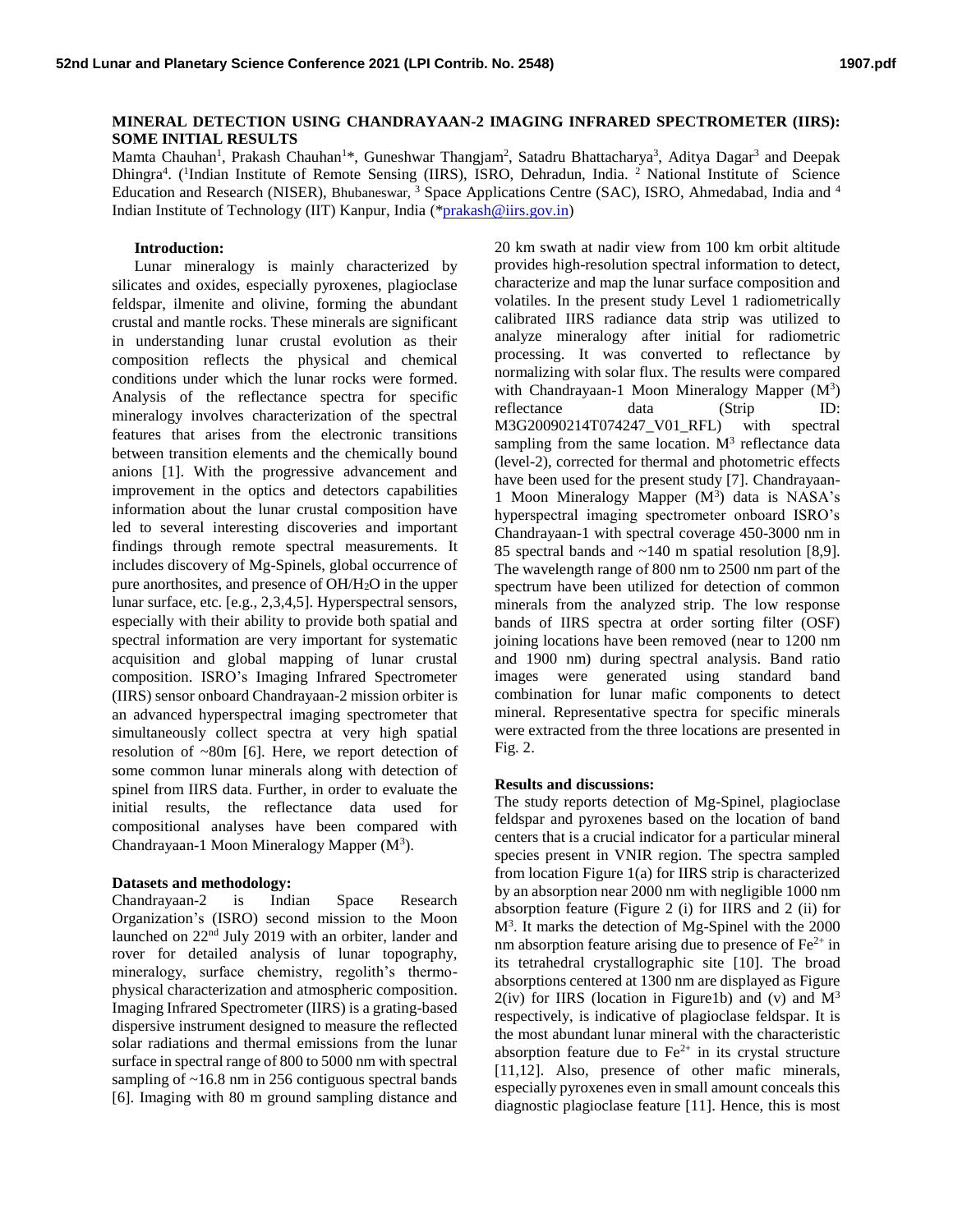## **MINERAL DETECTION USING CHANDRAYAAN-2 IMAGING INFRARED SPECTROMETER (IIRS): SOME INITIAL RESULTS**

Mamta Chauhan<sup>1</sup>, Prakash Chauhan<sup>1\*</sup>, Guneshwar Thangjam<sup>2</sup>, Satadru Bhattacharya<sup>3</sup>, Aditya Dagar<sup>3</sup> and Deepak Dhingra<sup>4</sup>. (<sup>1</sup>Indian Institute of Remote Sensing (IIRS), ISRO, Dehradun, India. <sup>2</sup> National Institute of Science Education and Research (NISER), Bhubaneswar, <sup>3</sup> Space Applications Centre (SAC), ISRO, Ahmedabad, India and <sup>4</sup> Indian Institute of Technology (IIT) Kanpur, India ([\\*prakash@iirs.gov.in\)](mailto:prakash@iirs.gov.in)

## **Introduction:**

Lunar mineralogy is mainly characterized by silicates and oxides, especially pyroxenes, plagioclase feldspar, ilmenite and olivine, forming the abundant crustal and mantle rocks. These minerals are significant in understanding lunar crustal evolution as their composition reflects the physical and chemical conditions under which the lunar rocks were formed. Analysis of the reflectance spectra for specific mineralogy involves characterization of the spectral features that arises from the electronic transitions between transition elements and the chemically bound anions [1]. With the progressive advancement and improvement in the optics and detectors capabilities information about the lunar crustal composition have led to several interesting discoveries and important findings through remote spectral measurements. It includes discovery of Mg-Spinels, global occurrence of pure anorthosites, and presence of OH/H2O in the upper lunar surface, etc. [e.g., 2,3,4,5]. Hyperspectral sensors, especially with their ability to provide both spatial and spectral information are very important for systematic acquisition and global mapping of lunar crustal composition. ISRO's Imaging Infrared Spectrometer (IIRS) sensor onboard Chandrayaan-2 mission orbiter is an advanced hyperspectral imaging spectrometer that simultaneously collect spectra at very high spatial resolution of ~80m [6]. Here, we report detection of some common lunar minerals along with detection of spinel from IIRS data. Further, in order to evaluate the initial results, the reflectance data used for compositional analyses have been compared with Chandrayaan-1 Moon Mineralogy Mapper  $(M^3)$ .

## **Datasets and methodology:**

Chandrayaan-2 is Indian Space Research Organization's (ISRO) second mission to the Moon launched on 22nd July 2019 with an orbiter, lander and rover for detailed analysis of lunar topography, mineralogy, surface chemistry, regolith's thermophysical characterization and atmospheric composition. Imaging Infrared Spectrometer (IIRS) is a grating-based dispersive instrument designed to measure the reflected solar radiations and thermal emissions from the lunar surface in spectral range of 800 to 5000 nm with spectral sampling of ~16.8 nm in 256 contiguous spectral bands [6]. Imaging with 80 m ground sampling distance and

20 km swath at nadir view from 100 km orbit altitude provides high-resolution spectral information to detect, characterize and map the lunar surface composition and volatiles. In the present study Level 1 radiometrically calibrated IIRS radiance data strip was utilized to analyze mineralogy after initial for radiometric processing. It was converted to reflectance by normalizing with solar flux. The results were compared with Chandrayaan-1 Moon Mineralogy Mapper  $(M<sup>3</sup>)$ reflectance data (Strip ID: M3G20090214T074247\_V01\_RFL) with spectral sampling from the same location.  $M<sup>3</sup>$  reflectance data (level-2), corrected for thermal and photometric effects have been used for the present study [7]. Chandrayaan-1 Moon Mineralogy Mapper  $(M<sup>3</sup>)$  data is NASA's hyperspectral imaging spectrometer onboard ISRO's Chandrayaan-1 with spectral coverage 450-3000 nm in 85 spectral bands and ~140 m spatial resolution [8,9]. The wavelength range of 800 nm to 2500 nm part of the spectrum have been utilized for detection of common minerals from the analyzed strip. The low response bands of IIRS spectra at order sorting filter (OSF) joining locations have been removed (near to 1200 nm and 1900 nm) during spectral analysis. Band ratio images were generated using standard band combination for lunar mafic components to detect mineral. Representative spectra for specific minerals were extracted from the three locations are presented in Fig. 2.

## **Results and discussions:**

The study reports detection of Mg-Spinel, plagioclase feldspar and pyroxenes based on the location of band centers that is a crucial indicator for a particular mineral species present in VNIR region. The spectra sampled from location Figure 1(a) for IIRS strip is characterized by an absorption near 2000 nm with negligible 1000 nm absorption feature (Figure 2 (i) for IIRS and 2 (ii) for M<sup>3</sup>. It marks the detection of Mg-Spinel with the 2000 nm absorption feature arising due to presence of  $Fe<sup>2+</sup>$  in its tetrahedral crystallographic site [10]. The broad absorptions centered at 1300 nm are displayed as Figure  $2(iv)$  for IIRS (location in Figure1b) and (v) and  $M^3$ respectively, is indicative of plagioclase feldspar. It is the most abundant lunar mineral with the characteristic absorption feature due to  $Fe^{2+}$  in its crystal structure [11,12]. Also, presence of other mafic minerals, especially pyroxenes even in small amount conceals this diagnostic plagioclase feature [11]. Hence, this is most